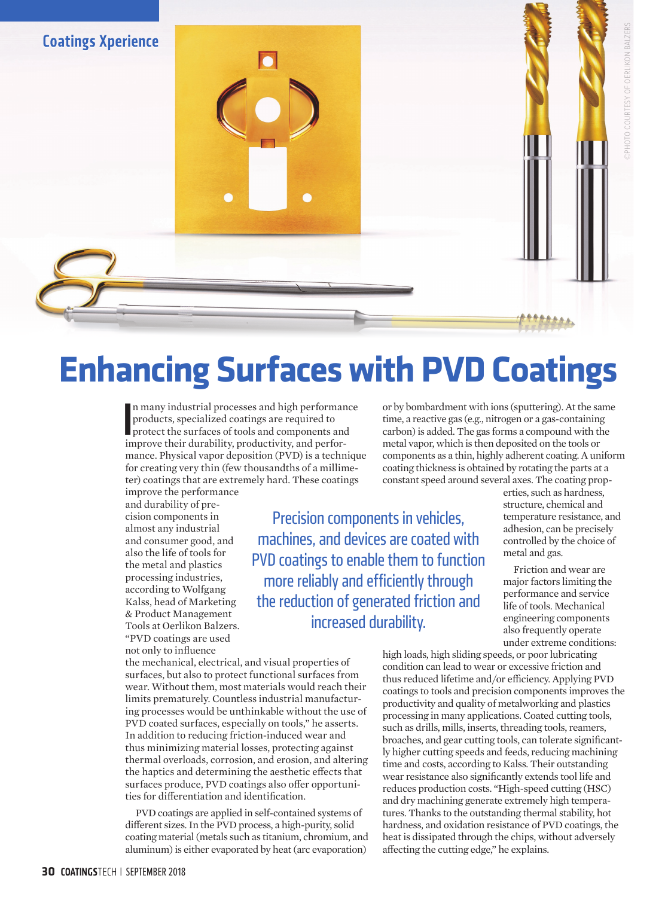## **Enhancing Surfaces with PVD Coatings**

In many industrial processes and high performan<br>products, specialized coatings are required to<br>protect the surfaces of tools and components and<br>improve their durability, productivity, and perforn many industrial processes and high performance products, specialized coatings are required to protect the surfaces of tools and components and mance. Physical vapor deposition (PVD) is a technique for creating very thin (few thousandths of a millimeter) coatings that are extremely hard. These coatings

improve the performance and durability of precision components in almost any industrial and consumer good, and also the life of tools for the metal and plastics processing industries, according to Wolfgang Kalss, head of Marketing & Product Management Tools at Oerlikon Balzers. "PVD coatings are used not only to influence

Precision components in vehicles, machines, and devices are coated with PVD coatings to enable them to function more reliably and efficiently through the reduction of generated friction and increased durability.

or by bombardment with ions (sputtering). At the same time, a reactive gas (e.g., nitrogen or a gas-containing carbon) is added. The gas forms a compound with the metal vapor, which is then deposited on the tools or components as a thin, highly adherent coating. A uniform coating thickness is obtained by rotating the parts at a constant speed around several axes. The coating prop-

erties, such as hardness, structure, chemical and temperature resistance, and adhesion, can be precisely controlled by the choice of metal and gas.

©PHOTO COURTESY OF OERLIKON BALZERSHOTO COURTESY OF OERLIKON BALZERS

Friction and wear are major factors limiting the performance and service life of tools. Mechanical engineering components also frequently operate under extreme conditions:

the mechanical, electrical, and visual properties of surfaces, but also to protect functional surfaces from wear. Without them, most materials would reach their limits prematurely. Countless industrial manufacturing processes would be unthinkable without the use of PVD coated surfaces, especially on tools," he asserts. In addition to reducing friction-induced wear and thus minimizing material losses, protecting against thermal overloads, corrosion, and erosion, and altering the haptics and determining the aesthetic effects that surfaces produce, PVD coatings also offer opportunities for differentiation and identification.

PVD coatings are applied in self-contained systems of different sizes. In the PVD process, a high-purity, solid coating material (metals such as titanium, chromium, and aluminum) is either evaporated by heat (arc evaporation)

high loads, high sliding speeds, or poor lubricating condition can lead to wear or excessive friction and thus reduced lifetime and/or efficiency. Applying PVD coatings to tools and precision components improves the productivity and quality of metalworking and plastics processing in many applications. Coated cutting tools, such as drills, mills, inserts, threading tools, reamers, broaches, and gear cutting tools, can tolerate significantly higher cutting speeds and feeds, reducing machining time and costs, according to Kalss. Their outstanding wear resistance also significantly extends tool life and reduces production costs. "High-speed cutting (HSC) and dry machining generate extremely high temperatures. Thanks to the outstanding thermal stability, hot hardness, and oxidation resistance of PVD coatings, the heat is dissipated through the chips, without adversely affecting the cutting edge," he explains.